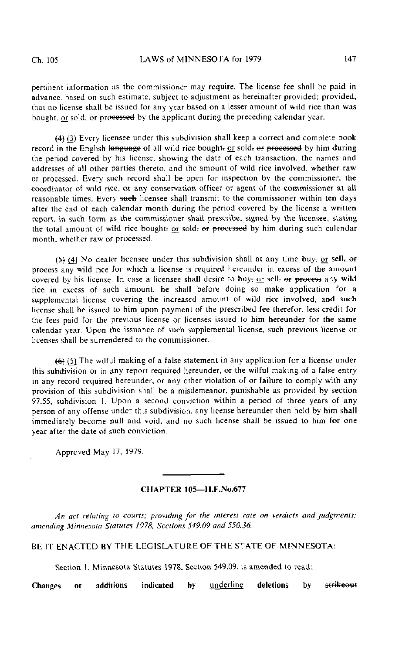pertinent information as the commissioner may require. The license fee shall be paid in advance, based on such estimate, subject to adjustment as hereinafter provided; provided, that no license shall he issued for any year based on a lesser amount of wild rice than was bought; or sold;  $\Theta$  processed by the applicant during the preceding calendar year.

(4) (3} Every licensee under this subdivision shall keep a correct and complete book record in the English language of all wild rice bought; or sold; or processed by him during the period covered by his license, showing the date of each transaction, the names and addresses of all other parties thereto, and the amount of wild rice involved, whether raw or processed. Every such record shall be open for inspection by the commissioner, the coordinator of wild rice, or any conservation officer or agent of the commissioner at all reasonable times. Every such licensee shall transmit to the commissioner within ten days after the end of each calendar month during the period covered by the license a written report, in such form as the commissioner shall prescribe, signed by the licensee, stating the total amount of wild rice bought; or sold; of processed by him during such calendar month, whether raw of processed.

 $(5)$  (4) No dealer licensee under this subdivision shall at any time buy; or sell; or process any wild rice for which a license is required hereunder in excess of the amount covered by his license. In case a licensee shall desire to buy; or sell; or process any wild rice in excess of such amount, he shall before doing so make application for a supplemental license covering the increased amount of wild rice involved, and such license shall be issued to him upon payment of the prescribed fee therefor, less credit for the fees paid for the previous license or licenses issued to him hereunder for the same calendar year. Upon the issuance of such supplemental license, such previous license or licenses shall be surrendered to the commissioner.

{6} (5J The wilful making of a false statement in any application for a license under this subdivision or in any report required hereunder, or the wilful making of a false entry in any record required hereunder, or any other violation of or failure to comply with any provision of this subdivision shall be a misdemeanor, punishable as provided by section 97.55, subdivision 1. Upon a second conviction within a period of three years of any person of any offense under this subdivision, any license hereunder then held by him shall immediately become null and void, and no such license shall be issued to him for one year after the date of such conviction.

Approved May 17, 1979.

## CHAPTER 105—H.F.No.677

An act relating to courts; providing for the interest rate on verdicts and judgments; amending Minnesota Statutes 1978, Sections 549.09 and 550.36.

BE IT ENACTED BY THE LEGISLATURE OF THE STATE OF MINNESOTA:

Section 1. Minnesota Statutes 1978, Section 549.09, is amended to read:

Changes or additions indicated by underline deletions by strikeout